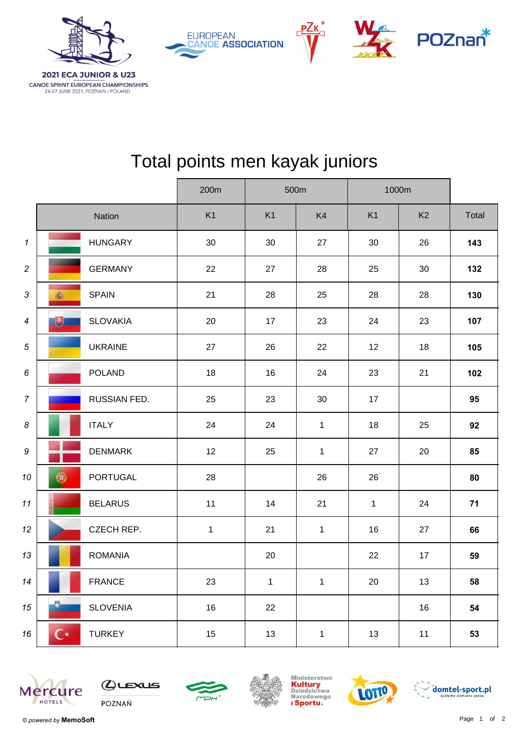

CANOE SPRINT EUROPEAN CHAMPIONSHIPS 24-27 JUNE 2021, POZNAN / POLAND

| <b>EUROPEAN</b><br><b>CANOE ASSOCIATION</b> |
|---------------------------------------------|
|                                             |
|                                             |





## Total points men kayak juniors

|                            |                                             |              | 200m         | 500m         |              | 1000m          |                |       |  |
|----------------------------|---------------------------------------------|--------------|--------------|--------------|--------------|----------------|----------------|-------|--|
|                            | Nation                                      |              | K1           | K1           | K4           | K <sub>1</sub> | K <sub>2</sub> | Total |  |
| $\boldsymbol{\mathcal{L}}$ | <b>HUNGARY</b>                              |              | 30           | 30           | 27           | 30             | 26             | 143   |  |
| $\sqrt{2}$                 | <b>GERMANY</b>                              |              | 22           | 27           | 28           | 25             | 30             | 132   |  |
| $\ensuremath{\mathsf{3}}$  | <b>SPAIN</b><br>瓣                           |              | 21           | 28           | 25           | 28             | 28             | 130   |  |
| $\boldsymbol{4}$           | 电<br><b>SLOVAKIA</b>                        |              | 20           | 17           | 23           | 24             | 23             | 107   |  |
| $\sqrt{5}$                 | <b>UKRAINE</b>                              |              | 27           | 26           | 22           | 12             | 18             | 105   |  |
| 6                          | <b>POLAND</b>                               |              | 18           | 16           | 24           | 23             | 21             | 102   |  |
| $\overline{7}$             |                                             | RUSSIAN FED. | 25           | 23           | 30           | 17             |                | 95    |  |
| 8                          | <b>ITALY</b>                                |              | 24           | 24           | $\mathbf{1}$ | 18             | 25             | 92    |  |
| 9                          | <b>DENMARK</b>                              |              | 12           | 25           | $\mathbf{1}$ | 27             | 20             | 85    |  |
| 10                         | <b>PORTUGAL</b><br>$\langle \theta \rangle$ |              | 28           |              | 26           | 26             |                | 80    |  |
| 11                         | <b>BELARUS</b>                              |              | 11           | 14           | 21           | $\mathbf{1}$   | 24             | 71    |  |
| 12                         | CZECH REP.                                  |              | $\mathbf{1}$ | 21           | $\mathbf{1}$ | 16             | 27             | 66    |  |
| 13                         | <b>ROMANIA</b>                              |              |              | 20           |              | 22             | 17             | 59    |  |
| 14                         | <b>FRANCE</b>                               |              | 23           | $\mathbf{1}$ | $\mathbf{1}$ | 20             | 13             | 58    |  |
| $15\,$                     | ٣<br><b>SLOVENIA</b>                        |              | 16           | 22           |              |                | 16             | 54    |  |
| 16                         | $\mathbf{C}^{\star}$<br><b>TURKEY</b>       |              | 15           | 13           | $\mathbf{1}$ | 13             | 11             | 53    |  |